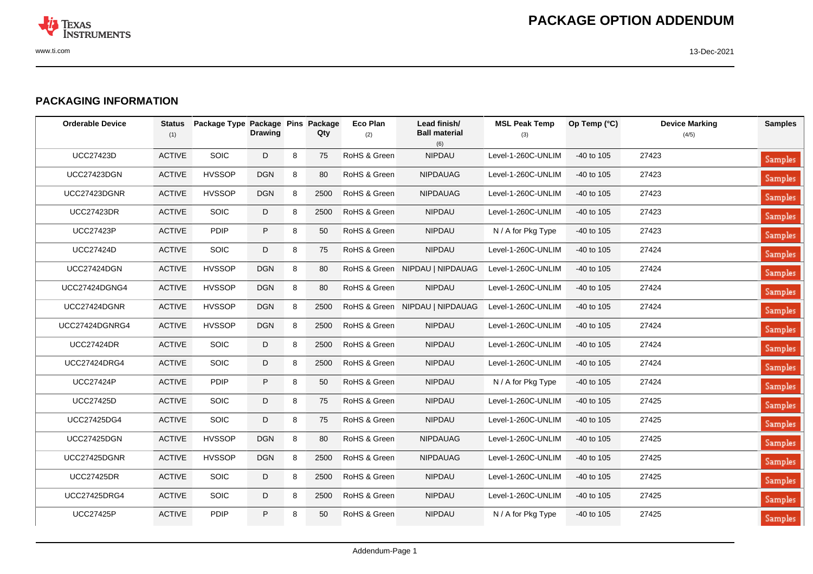

## **PACKAGING INFORMATION**

| <b>Orderable Device</b> | <b>Status</b><br>(1) | Package Type Package Pins Package | <b>Drawing</b> |   | Qty  | <b>Eco Plan</b><br>(2) | Lead finish/<br><b>Ball material</b><br>(6) | <b>MSL Peak Temp</b><br>(3) | Op Temp (°C) | <b>Device Marking</b><br>(4/5) | <b>Samples</b> |
|-------------------------|----------------------|-----------------------------------|----------------|---|------|------------------------|---------------------------------------------|-----------------------------|--------------|--------------------------------|----------------|
| <b>UCC27423D</b>        | <b>ACTIVE</b>        | SOIC                              | D              | 8 | 75   | RoHS & Green           | NIPDAU                                      | Level-1-260C-UNLIM          | $-40$ to 105 | 27423                          | <b>Samples</b> |
| <b>UCC27423DGN</b>      | <b>ACTIVE</b>        | <b>HVSSOP</b>                     | <b>DGN</b>     | 8 | 80   | RoHS & Green           | <b>NIPDAUAG</b>                             | Level-1-260C-UNLIM          | $-40$ to 105 | 27423                          | <b>Samples</b> |
| UCC27423DGNR            | <b>ACTIVE</b>        | <b>HVSSOP</b>                     | <b>DGN</b>     | 8 | 2500 | RoHS & Green           | <b>NIPDAUAG</b>                             | Level-1-260C-UNLIM          | $-40$ to 105 | 27423                          | <b>Samples</b> |
| <b>UCC27423DR</b>       | <b>ACTIVE</b>        | <b>SOIC</b>                       | D              | 8 | 2500 | RoHS & Green           | <b>NIPDAU</b>                               | Level-1-260C-UNLIM          | $-40$ to 105 | 27423                          | <b>Samples</b> |
| <b>UCC27423P</b>        | <b>ACTIVE</b>        | <b>PDIP</b>                       | $\sf P$        | 8 | 50   | RoHS & Green           | <b>NIPDAU</b>                               | N / A for Pkg Type          | $-40$ to 105 | 27423                          | <b>Samples</b> |
| <b>UCC27424D</b>        | <b>ACTIVE</b>        | <b>SOIC</b>                       | D              | 8 | 75   | RoHS & Green           | <b>NIPDAU</b>                               | Level-1-260C-UNLIM          | $-40$ to 105 | 27424                          | <b>Samples</b> |
| <b>UCC27424DGN</b>      | <b>ACTIVE</b>        | <b>HVSSOP</b>                     | <b>DGN</b>     | 8 | 80   |                        | RoHS & Green NIPDAU   NIPDAUAG              | Level-1-260C-UNLIM          | $-40$ to 105 | 27424                          | <b>Samples</b> |
| <b>UCC27424DGNG4</b>    | <b>ACTIVE</b>        | <b>HVSSOP</b>                     | <b>DGN</b>     | 8 | 80   | RoHS & Green           | NIPDAU                                      | Level-1-260C-UNLIM          | $-40$ to 105 | 27424                          | <b>Samples</b> |
| UCC27424DGNR            | <b>ACTIVE</b>        | <b>HVSSOP</b>                     | <b>DGN</b>     | 8 | 2500 |                        | RoHS & Green NIPDAU   NIPDAUAG              | Level-1-260C-UNLIM          | -40 to 105   | 27424                          | <b>Samples</b> |
| UCC27424DGNRG4          | <b>ACTIVE</b>        | <b>HVSSOP</b>                     | <b>DGN</b>     | 8 | 2500 | RoHS & Green           | <b>NIPDAU</b>                               | Level-1-260C-UNLIM          | -40 to 105   | 27424                          | <b>Samples</b> |
| <b>UCC27424DR</b>       | <b>ACTIVE</b>        | <b>SOIC</b>                       | D              | 8 | 2500 | RoHS & Green           | <b>NIPDAU</b>                               | Level-1-260C-UNLIM          | $-40$ to 105 | 27424                          | <b>Samples</b> |
| <b>UCC27424DRG4</b>     | <b>ACTIVE</b>        | <b>SOIC</b>                       | D              | 8 | 2500 | RoHS & Green           | <b>NIPDAU</b>                               | Level-1-260C-UNLIM          | $-40$ to 105 | 27424                          | <b>Samples</b> |
| <b>UCC27424P</b>        | <b>ACTIVE</b>        | <b>PDIP</b>                       | P              | 8 | 50   | RoHS & Green           | <b>NIPDAU</b>                               | N / A for Pkg Type          | -40 to 105   | 27424                          | <b>Samples</b> |
| <b>UCC27425D</b>        | <b>ACTIVE</b>        | <b>SOIC</b>                       | D              | 8 | 75   | RoHS & Green           | <b>NIPDAU</b>                               | Level-1-260C-UNLIM          | $-40$ to 105 | 27425                          | <b>Samples</b> |
| <b>UCC27425DG4</b>      | <b>ACTIVE</b>        | <b>SOIC</b>                       | D              | 8 | 75   | RoHS & Green           | <b>NIPDAU</b>                               | Level-1-260C-UNLIM          | $-40$ to 105 | 27425                          | <b>Samples</b> |
| <b>UCC27425DGN</b>      | <b>ACTIVE</b>        | <b>HVSSOP</b>                     | <b>DGN</b>     | 8 | 80   | RoHS & Green           | <b>NIPDAUAG</b>                             | Level-1-260C-UNLIM          | $-40$ to 105 | 27425                          | <b>Samples</b> |
| UCC27425DGNR            | <b>ACTIVE</b>        | <b>HVSSOP</b>                     | <b>DGN</b>     | 8 | 2500 | RoHS & Green           | <b>NIPDAUAG</b>                             | Level-1-260C-UNLIM          | $-40$ to 105 | 27425                          | <b>Samples</b> |
| <b>UCC27425DR</b>       | <b>ACTIVE</b>        | SOIC                              | D              | 8 | 2500 | RoHS & Green           | <b>NIPDAU</b>                               | Level-1-260C-UNLIM          | $-40$ to 105 | 27425                          | <b>Samples</b> |
| <b>UCC27425DRG4</b>     | <b>ACTIVE</b>        | <b>SOIC</b>                       | D              | 8 | 2500 | RoHS & Green           | NIPDAU                                      | Level-1-260C-UNLIM          | $-40$ to 105 | 27425                          | <b>Samples</b> |
| <b>UCC27425P</b>        | <b>ACTIVE</b>        | <b>PDIP</b>                       | P              | 8 | 50   | RoHS & Green           | NIPDAU                                      | N / A for Pkg Type          | -40 to 105   | 27425                          | <b>Samples</b> |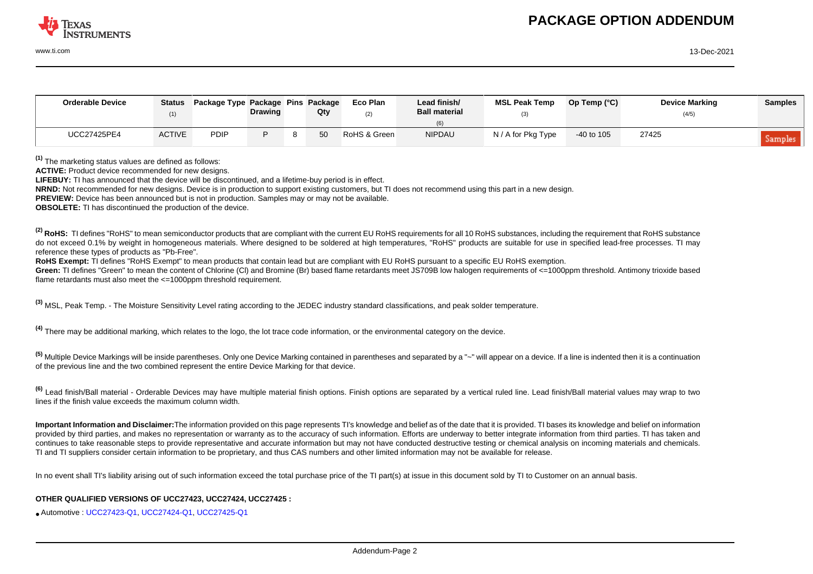

www.ti.com 13-Dec-2021

| <b>Orderable Device</b> | <b>Status</b> | Package Type Package Pins Package | <b>Drawing</b> | Qty | Eco Plan<br>(2) | Lead finish/<br><b>Ball material</b> | <b>MSL Peak Temp</b> | Op Temp $(^{\circ}C)$ | <b>Device Marking</b><br>(4/5) | <b>Samples</b> |
|-------------------------|---------------|-----------------------------------|----------------|-----|-----------------|--------------------------------------|----------------------|-----------------------|--------------------------------|----------------|
| <b>UCC27425PE4</b>      | <b>ACTIVE</b> | PDIP                              |                |     | RoHS & Green    | <b>NIPDAU</b>                        | N / A for Pkg Type   | $-40$ to 105          | 27425                          | <b>Samples</b> |

**(1)** The marketing status values are defined as follows:

ACTIVE: Product device recommended for new designs.

**LIFEBUY:** TI has announced that the device will be discontinued, and a lifetime-buy period is in effect.

**NRND:** Not recommended for new designs. Device is in production to support existing customers, but TI does not recommend using this part in a new design.

**PREVIEW:** Device has been announced but is not in production. Samples may or may not be available.

**OBSOLETE:** TI has discontinued the production of the device.

<sup>(2)</sup> RoHS: TI defines "RoHS" to mean semiconductor products that are compliant with the current EU RoHS requirements for all 10 RoHS substances, including the requirement that RoHS substance do not exceed 0.1% by weight in homogeneous materials. Where designed to be soldered at high temperatures. "RoHS" products are suitable for use in specified lead-free processes. TI may reference these types of products as "Pb-Free".

**RoHS Exempt:** TI defines "RoHS Exempt" to mean products that contain lead but are compliant with EU RoHS pursuant to a specific EU RoHS exemption.

Green: TI defines "Green" to mean the content of Chlorine (CI) and Bromine (Br) based flame retardants meet JS709B low halogen requirements of <=1000ppm threshold. Antimony trioxide based flame retardants must also meet the <=1000ppm threshold requirement.

**(3)** MSL, Peak Temp. - The Moisture Sensitivity Level rating according to the JEDEC industry standard classifications, and peak solder temperature.

**(4)** There may be additional marking, which relates to the logo, the lot trace code information, or the environmental category on the device.

**(5)** Multiple Device Markings will be inside parentheses. Only one Device Marking contained in parentheses and separated by a "~" will appear on a device. If a line is indented then it is a continuation of the previous line and the two combined represent the entire Device Marking for that device.

**(6)** Lead finish/Ball material - Orderable Devices may have multiple material finish options. Finish options are separated by a vertical ruled line. Lead finish/Ball material values may wrap to two lines if the finish value exceeds the maximum column width.

**Important Information and Disclaimer:**The information provided on this page represents TI's knowledge and belief as of the date that it is provided. TI bases its knowledge and belief on information provided by third parties, and makes no representation or warranty as to the accuracy of such information. Efforts are underway to better integrate information from third parties. TI has taken and continues to take reasonable steps to provide representative and accurate information but may not have conducted destructive testing or chemical analysis on incoming materials and chemicals. TI and TI suppliers consider certain information to be proprietary, and thus CAS numbers and other limited information may not be available for release.

In no event shall TI's liability arising out of such information exceed the total purchase price of the TI part(s) at issue in this document sold by TI to Customer on an annual basis.

## **OTHER QUALIFIED VERSIONS OF UCC27423, UCC27424, UCC27425 :**

• Automotive : [UCC27423-Q1](http://focus.ti.com/docs/prod/folders/print/ucc27423-q1.html), [UCC27424-Q1](http://focus.ti.com/docs/prod/folders/print/ucc27424-q1.html), [UCC27425-Q1](http://focus.ti.com/docs/prod/folders/print/ucc27425-q1.html)